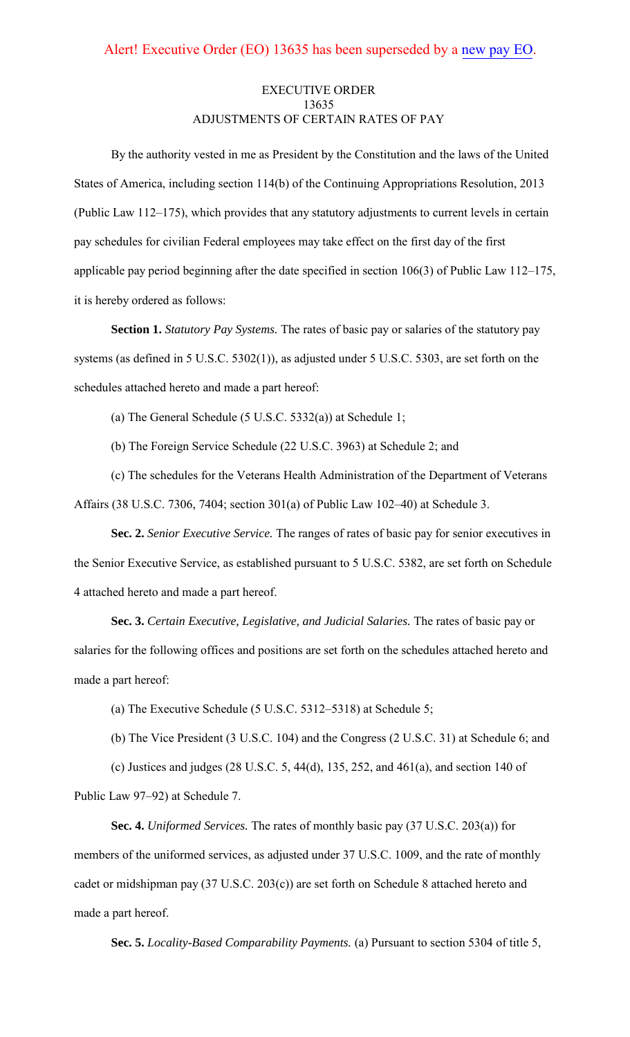# EXECUTIVE ORDER 13635 ADJUSTMENTS OF CERTAIN RATES OF PAY

By the authority vested in me as President by the Constitution and the laws of the United States of America, including section 114(b) of the Continuing Appropriations Resolution, 2013 (Public Law 112–175), which provides that any statutory adjustments to current levels in certain pay schedules for civilian Federal employees may take effect on the first day of the first applicable pay period beginning after the date specified in section 106(3) of Public Law 112–175, it is hereby ordered as follows:

**Section 1.** *Statutory Pay Systems.* The rates of basic pay or salaries of the statutory pay systems (as defined in 5 U.S.C. 5302(1)), as adjusted under 5 U.S.C. 5303, are set forth on the schedules attached hereto and made a part hereof:

(a) The General Schedule (5 U.S.C. 5332(a)) at Schedule 1;

(b) The Foreign Service Schedule (22 U.S.C. 3963) at Schedule 2; and

(c) The schedules for the Veterans Health Administration of the Department of Veterans Affairs (38 U.S.C. 7306, 7404; section 301(a) of Public Law 102–40) at Schedule 3.

**Sec. 2.** *Senior Executive Service.* The ranges of rates of basic pay for senior executives in the Senior Executive Service, as established pursuant to 5 U.S.C. 5382, are set forth on Schedule 4 attached hereto and made a part hereof.

**Sec. 3.** *Certain Executive, Legislative, and Judicial Salaries.* The rates of basic pay or salaries for the following offices and positions are set forth on the schedules attached hereto and made a part hereof:

(a) The Executive Schedule (5 U.S.C. 5312–5318) at Schedule 5;

(b) The Vice President (3 U.S.C. 104) and the Congress (2 U.S.C. 31) at Schedule 6; and

(c) Justices and judges (28 U.S.C. 5, 44(d), 135, 252, and 461(a), and section 140 of Public Law 97–92) at Schedule 7.

**Sec. 4.** *Uniformed Services.* The rates of monthly basic pay (37 U.S.C. 203(a)) for members of the uniformed services, as adjusted under 37 U.S.C. 1009, and the rate of monthly cadet or midshipman pay (37 U.S.C. 203(c)) are set forth on Schedule 8 attached hereto and made a part hereof.

**Sec. 5.** *Locality-Based Comparability Payments.* (a) Pursuant to section 5304 of title 5,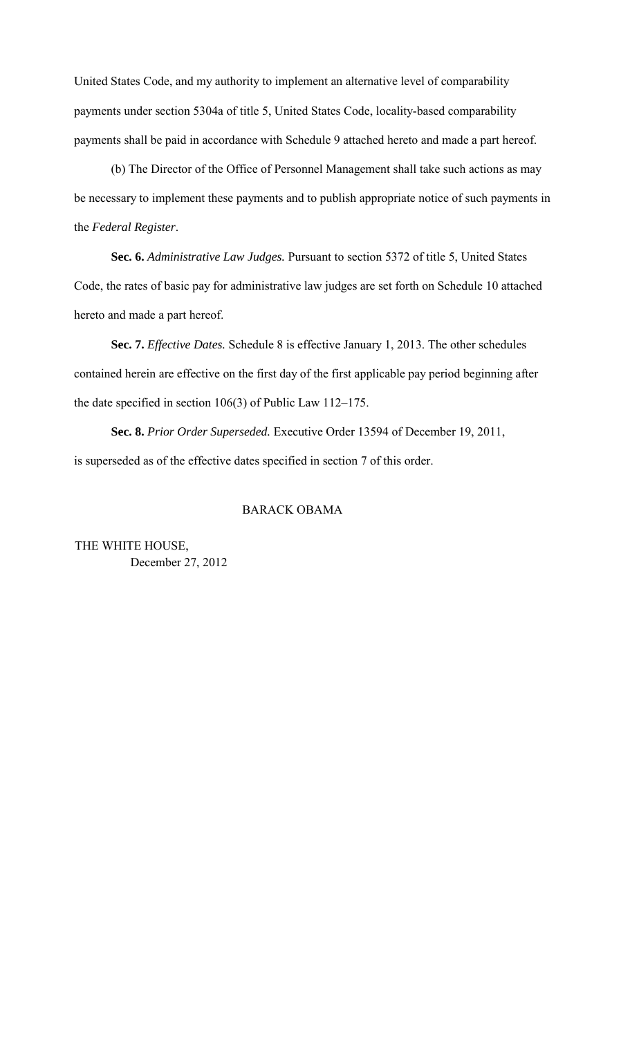United States Code, and my authority to implement an alternative level of comparability payments under section 5304a of title 5, United States Code, locality-based comparability payments shall be paid in accordance with Schedule 9 attached hereto and made a part hereof.

(b) The Director of the Office of Personnel Management shall take such actions as may be necessary to implement these payments and to publish appropriate notice of such payments in the *Federal Register*.

**Sec. 6.** *Administrative Law Judges.* Pursuant to section 5372 of title 5, United States Code, the rates of basic pay for administrative law judges are set forth on Schedule 10 attached hereto and made a part hereof.

**Sec. 7.** *Effective Dates.* Schedule 8 is effective January 1, 2013. The other schedules contained herein are effective on the first day of the first applicable pay period beginning after the date specified in section 106(3) of Public Law 112–175.

**Sec. 8.** *Prior Order Superseded.* Executive Order 13594 of December 19, 2011, is superseded as of the effective dates specified in section 7 of this order.

# BARACK OBAMA

THE WHITE HOUSE, December 27, 2012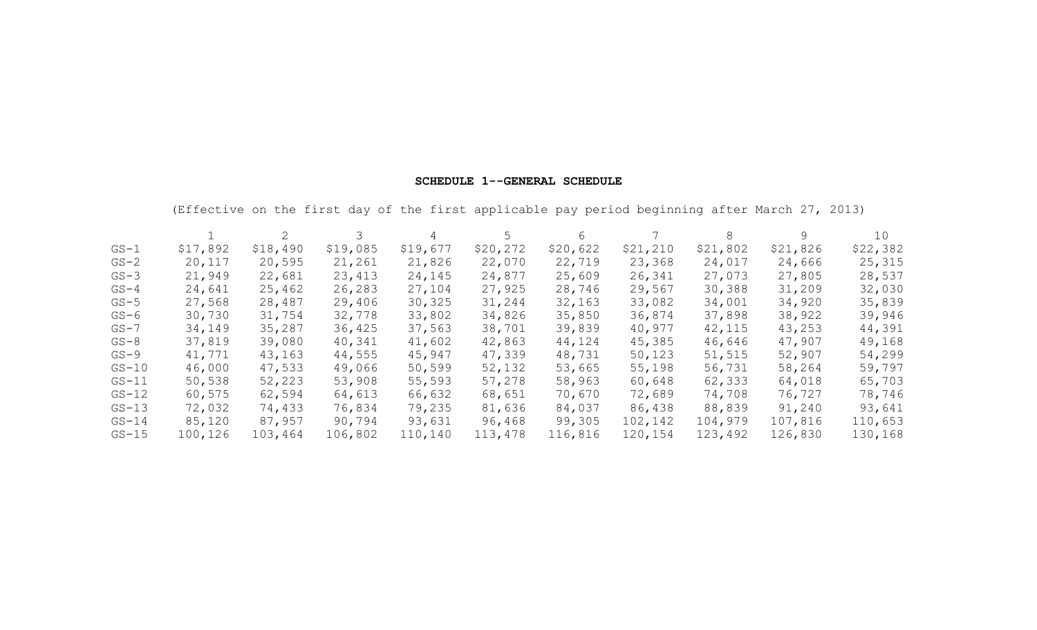## **SCHEDULE 1--GENERAL SCHEDULE**

(Effective on the first day of the first applicable pay period beginning after March 27, 2013)

|          |          |          |          | 4        | 5        | 6        |          | 8        | 9        | 10       |
|----------|----------|----------|----------|----------|----------|----------|----------|----------|----------|----------|
| $GS-1$   | \$17,892 | \$18,490 | \$19,085 | \$19,677 | \$20,272 | \$20,622 | \$21,210 | \$21,802 | \$21,826 | \$22,382 |
| $GS-2$   | 20,117   | 20,595   | 21,261   | 21,826   | 22,070   | 22,719   | 23,368   | 24,017   | 24,666   | 25,315   |
| $GS-3$   | 21,949   | 22,681   | 23,413   | 24,145   | 24,877   | 25,609   | 26,341   | 27,073   | 27,805   | 28,537   |
| $GS-4$   | 24,641   | 25,462   | 26,283   | 27,104   | 27,925   | 28,746   | 29,567   | 30,388   | 31,209   | 32,030   |
| $GS-5$   | 27,568   | 28,487   | 29,406   | 30,325   | 31,244   | 32,163   | 33,082   | 34,001   | 34,920   | 35,839   |
| $GS-6$   | 30,730   | 31,754   | 32,778   | 33,802   | 34,826   | 35,850   | 36,874   | 37,898   | 38,922   | 39,946   |
| $GS - 7$ | 34,149   | 35,287   | 36,425   | 37,563   | 38,701   | 39,839   | 40,977   | 42,115   | 43,253   | 44,391   |
| $GS-8$   | 37,819   | 39,080   | 40,341   | 41,602   | 42,863   | 44,124   | 45,385   | 46,646   | 47,907   | 49,168   |
| $GS-9$   | 41,771   | 43,163   | 44,555   | 45,947   | 47,339   | 48,731   | 50,123   | 51,515   | 52,907   | 54,299   |
| $GS-10$  | 46,000   | 47,533   | 49,066   | 50,599   | 52,132   | 53,665   | 55,198   | 56,731   | 58,264   | 59,797   |
| $GS-11$  | 50,538   | 52,223   | 53,908   | 55,593   | 57,278   | 58,963   | 60,648   | 62,333   | 64,018   | 65,703   |
| $GS-12$  | 60,575   | 62,594   | 64,613   | 66,632   | 68,651   | 70,670   | 72,689   | 74,708   | 76,727   | 78,746   |
| $GS-13$  | 72,032   | 74,433   | 76,834   | 79,235   | 81,636   | 84,037   | 86,438   | 88,839   | 91,240   | 93,641   |
| $GS-14$  | 85,120   | 87,957   | 90,794   | 93,631   | 96,468   | 99,305   | 102,142  | 104,979  | 107,816  | 110,653  |
| $GS-15$  | 100,126  | 103,464  | 106,802  | 110,140  | 113,478  | 116,816  | 120,154  | 123,492  | 126,830  | 130,168  |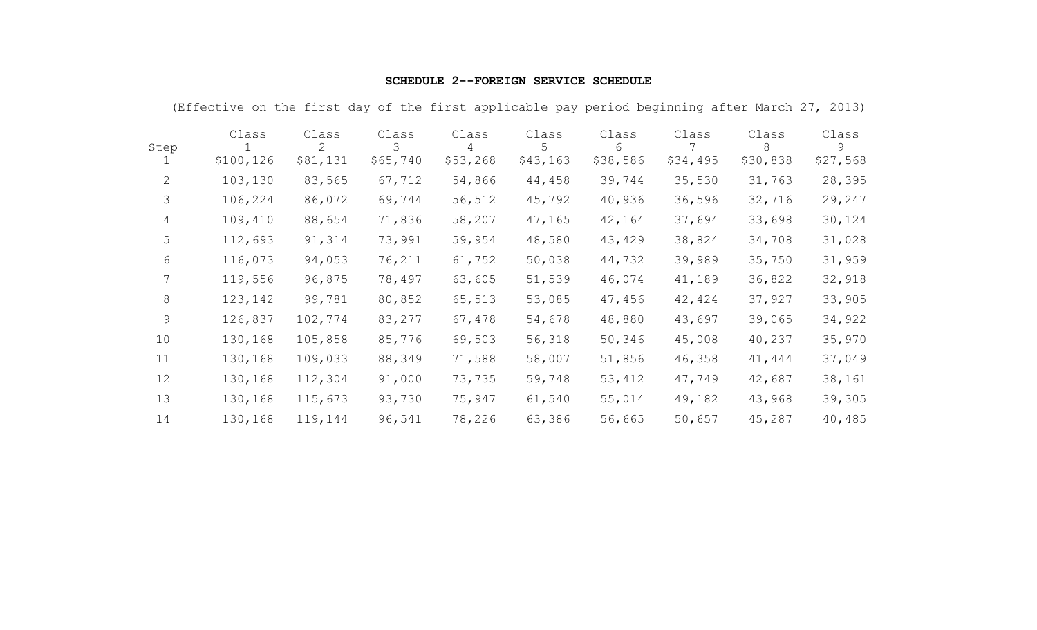# **SCHEDULE 2--FOREIGN SERVICE SCHEDULE**

|                | Class      | Class    | Class    | Class    | Class    | Class    | Class    | Class    | Class    |
|----------------|------------|----------|----------|----------|----------|----------|----------|----------|----------|
| Step           |            | 2        | 3        | 4        | 5        | 6        |          | 8        | 9        |
|                | \$100, 126 | \$81,131 | \$65,740 | \$53,268 | \$43,163 | \$38,586 | \$34,495 | \$30,838 | \$27,568 |
| 2              | 103,130    | 83,565   | 67,712   | 54,866   | 44,458   | 39,744   | 35,530   | 31,763   | 28,395   |
| 3              | 106,224    | 86,072   | 69,744   | 56,512   | 45,792   | 40,936   | 36,596   | 32,716   | 29,247   |
| $\overline{4}$ | 109,410    | 88,654   | 71,836   | 58,207   | 47,165   | 42,164   | 37,694   | 33,698   | 30,124   |
| 5              | 112,693    | 91,314   | 73,991   | 59,954   | 48,580   | 43,429   | 38,824   | 34,708   | 31,028   |
| 6              | 116,073    | 94,053   | 76,211   | 61,752   | 50,038   | 44,732   | 39,989   | 35,750   | 31,959   |
| 7              | 119,556    | 96,875   | 78,497   | 63,605   | 51,539   | 46,074   | 41,189   | 36,822   | 32,918   |
| 8              | 123, 142   | 99,781   | 80,852   | 65,513   | 53,085   | 47,456   | 42,424   | 37,927   | 33,905   |
| 9              | 126,837    | 102,774  | 83,277   | 67,478   | 54,678   | 48,880   | 43,697   | 39,065   | 34,922   |
| 10             | 130,168    | 105,858  | 85,776   | 69,503   | 56,318   | 50,346   | 45,008   | 40,237   | 35,970   |
| 11             | 130,168    | 109,033  | 88,349   | 71,588   | 58,007   | 51,856   | 46,358   | 41,444   | 37,049   |
| 12             | 130,168    | 112,304  | 91,000   | 73,735   | 59,748   | 53,412   | 47,749   | 42,687   | 38,161   |
| 13             | 130,168    | 115,673  | 93,730   | 75,947   | 61,540   | 55,014   | 49,182   | 43,968   | 39,305   |
| 14             | 130,168    | 119,144  | 96,541   | 78,226   | 63,386   | 56,665   | 50,657   | 45,287   | 40,485   |

(Effective on the first day of the first applicable pay period beginning after March 27, 2013)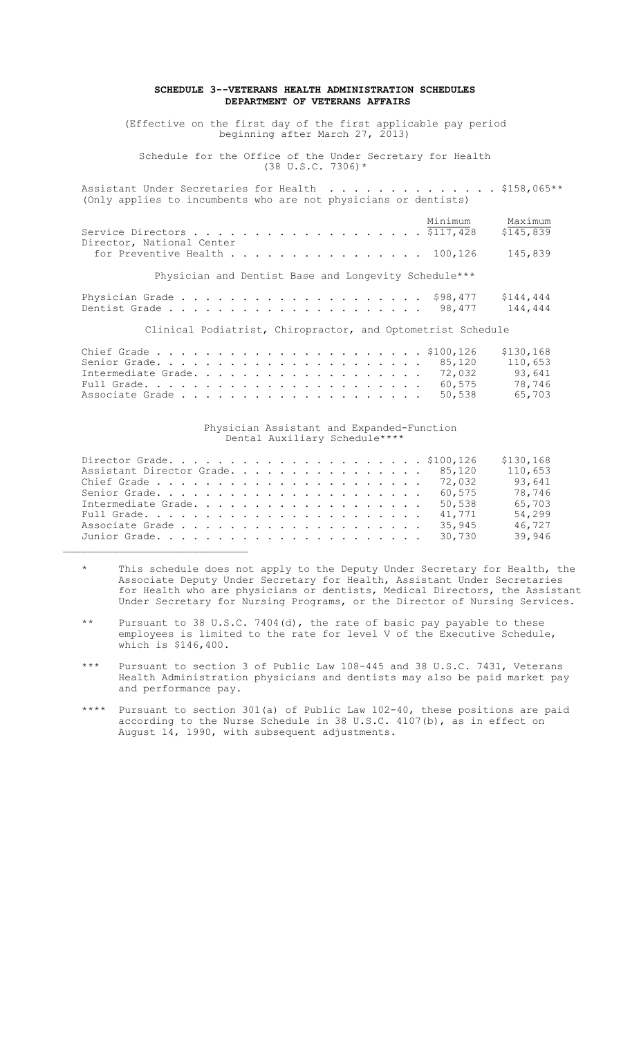### **SCHEDULE 3--VETERANS HEALTH ADMINISTRATION SCHEDULES DEPARTMENT OF VETERANS AFFAIRS**

(Effective on the first day of the first applicable pay period beginning after March 27, 2013)

Schedule for the Office of the Under Secretary for Health  $(38 \text{ U.S.C. } 7306)$  \*

| Assistant Under Secretaries for Health \$158,065**              |  |         |         |
|-----------------------------------------------------------------|--|---------|---------|
| (Only applies to incumbents who are not physicians or dentists) |  |         |         |
|                                                                 |  |         |         |
|                                                                 |  | Minimum | Maximum |
|                                                                 |  |         |         |

| Director, National Center<br>for Preventive Health $\ldots$ 100,126 |                                                      | 145,839 |
|---------------------------------------------------------------------|------------------------------------------------------|---------|
|                                                                     | Physician and Dentist Base and Longevity Schedule*** |         |

Physician Grade . . . . . . . . . . . . . . . . . . . . \$98,477 \$144,444 Dentist Grade . . . . . . . . . . . . . . . . . . . . . 98,477 144,444

Clinical Podiatrist, Chiropractor, and Optometrist Schedule

|                            |  |  | 110,653 |
|----------------------------|--|--|---------|
| Intermediate Grade. 72,032 |  |  | 93,641  |
|                            |  |  | 78,746  |
|                            |  |  | 65,703  |

### Physician Assistant and Expanded-Function Dental Auxiliary Schedule\*\*\*\*

|                                  |  |  |  |  |  |  |  |  |        | \$130,168 |
|----------------------------------|--|--|--|--|--|--|--|--|--------|-----------|
| Assistant Director Grade. 85,120 |  |  |  |  |  |  |  |  |        | 110,653   |
|                                  |  |  |  |  |  |  |  |  |        | 93,641    |
|                                  |  |  |  |  |  |  |  |  |        | 78,746    |
| Intermediate Grade.              |  |  |  |  |  |  |  |  | 50,538 | 65,703    |
|                                  |  |  |  |  |  |  |  |  | 41,771 | 54,299    |
|                                  |  |  |  |  |  |  |  |  | 35,945 | 46,727    |
|                                  |  |  |  |  |  |  |  |  |        | 39,946    |

- \* This schedule does not apply to the Deputy Under Secretary for Health, the Associate Deputy Under Secretary for Health, Assistant Under Secretaries for Health who are physicians or dentists, Medical Directors, the Assistant Under Secretary for Nursing Programs, or the Director of Nursing Services.
- \*\* Pursuant to 38 U.S.C. 7404(d), the rate of basic pay payable to these employees is limited to the rate for level V of the Executive Schedule, which is \$146,400.
	- \*\*\* Pursuant to section 3 of Public Law 108-445 and 38 U.S.C. 7431, Veterans Health Administration physicians and dentists may also be paid market pay and performance pay.
	- \*\*\*\* Pursuant to section 301(a) of Public Law 102-40, these positions are paid according to the Nurse Schedule in 38 U.S.C. 4107(b), as in effect on August 14, 1990, with subsequent adjustments.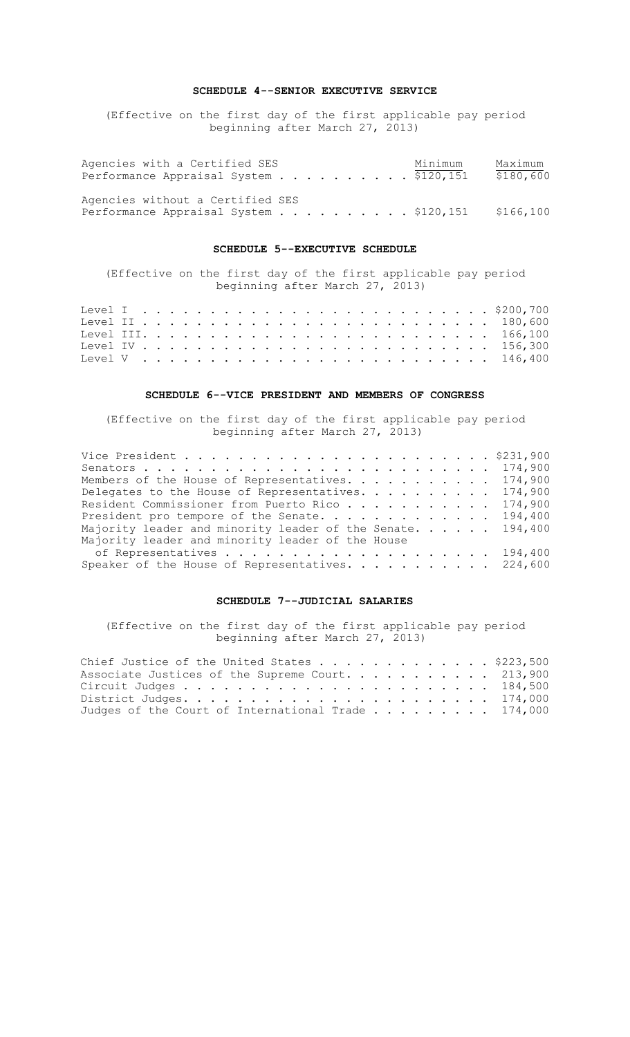### **SCHEDULE 4--SENIOR EXECUTIVE SERVICE**

(Effective on the first day of the first applicable pay period beginning after March 27, 2013)

| Agencies with a Certified SES<br>Performance Appraisal System \$120,151    |  |  |  |  | Minimum | Maximum<br>\$180,600 |
|----------------------------------------------------------------------------|--|--|--|--|---------|----------------------|
| Agencies without a Certified SES<br>Performance Appraisal System \$120,151 |  |  |  |  |         | \$166,100            |

### **SCHEDULE 5--EXECUTIVE SCHEDULE**

(Effective on the first day of the first applicable pay period beginning after March 27, 2013)

### **SCHEDULE 6--VICE PRESIDENT AND MEMBERS OF CONGRESS**

(Effective on the first day of the first applicable pay period beginning after March 27, 2013)

| Members of the House of Representatives. 174,900           |  |
|------------------------------------------------------------|--|
| Delegates to the House of Representatives. 174,900         |  |
| Resident Commissioner from Puerto Rico 174,900             |  |
| President pro tempore of the Senate. 194,400               |  |
| Majority leader and minority leader of the Senate. 194,400 |  |
| Majority leader and minority leader of the House           |  |
|                                                            |  |
| Speaker of the House of Representatives. 224,600           |  |

### **SCHEDULE 7--JUDICIAL SALARIES**

(Effective on the first day of the first applicable pay period beginning after March 27, 2013)

| Chief Justice of the United States \$223,500       |  |
|----------------------------------------------------|--|
| Associate Justices of the Supreme Court. 213,900   |  |
|                                                    |  |
|                                                    |  |
| Judges of the Court of International Trade 174,000 |  |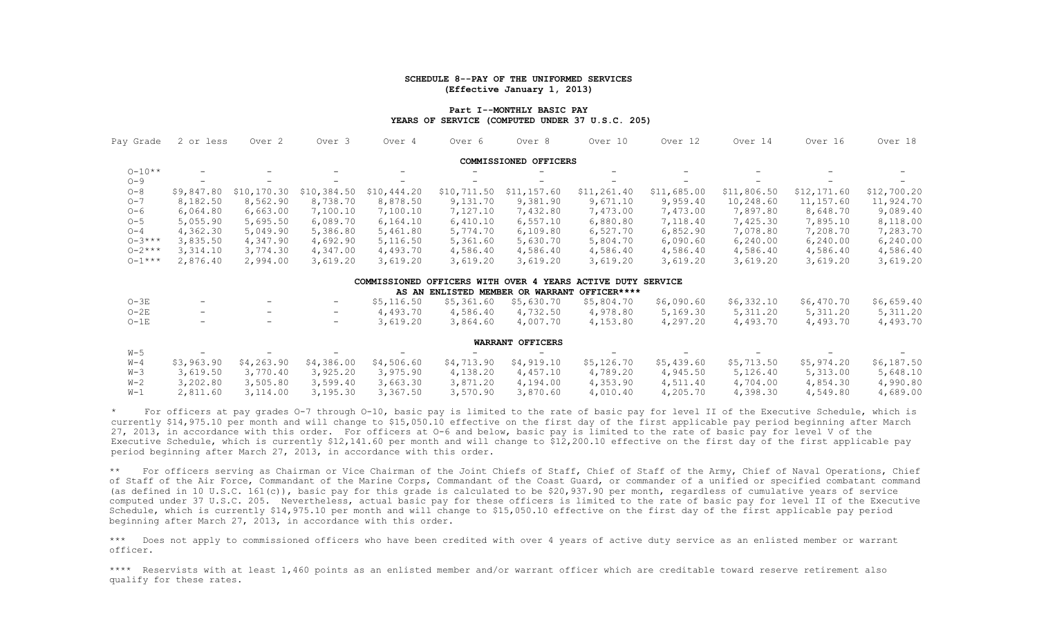#### **SCHEDULE 8--PAY OF THE UNIFORMED SERVICES (Effective January 1, 2013)**

#### **Part I--MONTHLY BASIC PAY YEARS OF SERVICE (COMPUTED UNDER 37 U.S.C. 205)**

| Pay Grade   | 2 or less  | Over <sub>2</sub> | Over <sub>3</sub>        | Over 4      | Over 6      | Over 8                | Over 10                                                     | Over 12     | Over 14     | Over 16     | Over 18     |
|-------------|------------|-------------------|--------------------------|-------------|-------------|-----------------------|-------------------------------------------------------------|-------------|-------------|-------------|-------------|
|             |            |                   |                          |             |             | COMMISSIONED OFFICERS |                                                             |             |             |             |             |
| $0 - 10**$  |            |                   |                          |             |             |                       |                                                             |             |             |             |             |
| $O - 9$     |            |                   |                          |             |             |                       |                                                             |             |             |             |             |
| $O - 8$     | \$9,847.80 | \$10, 170.30      | \$10,384.50              | \$10,444.20 | \$10,711.50 | \$11, 157.60          | \$11,261.40                                                 | \$11,685.00 | \$11,806.50 | \$12,171.60 | \$12,700.20 |
| $O - 7$     | 8,182.50   | 8,562.90          | 8,738.70                 | 8,878.50    | 9,131.70    | 9,381.90              | 9,671.10                                                    | 9,959.40    | 10,248.60   | 11, 157.60  | 11,924.70   |
| $O - 6$     | 6,064.80   | 6,663.00          | 7,100.10                 | 7,100.10    | 7,127.10    | 7,432.80              | 7,473.00                                                    | 7,473.00    | 7,897.80    | 8,648.70    | 9,089.40    |
| $O - 5$     | 5,055.90   | 5,695.50          | 6,089.70                 | 6,164.10    | 6,410.10    | 6, 557.10             | 6,880.80                                                    | 7,118.40    | 7,425.30    | 7,895.10    | 8,118.00    |
| $O - 4$     | 4,362.30   | 5,049.90          | 5,386.80                 | 5,461.80    | 5,774.70    | 6,109.80              | 6,527.70                                                    | 6,852.90    | 7,078.80    | 7,208.70    | 7,283.70    |
| $0 - 3***$  | 3,835.50   | 4,347.90          | 4,692.90                 | 5,116.50    | 5,361.60    | 5,630.70              | 5,804.70                                                    | 6,090.60    | 6, 240.00   | 6, 240.00   | 6, 240.00   |
| $0 - 2$ *** | 3,314.10   | 3,774.30          | 4,347.00                 | 4,493.70    | 4,586.40    | 4,586.40              | 4,586.40                                                    | 4,586.40    | 4,586.40    | 4,586.40    | 4,586.40    |
| $0 - 1***$  | 2,876.40   | 2,994.00          | 3,619.20                 | 3,619.20    | 3,619.20    | 3,619.20              | 3,619.20                                                    | 3,619.20    | 3,619.20    | 3,619.20    | 3,619.20    |
|             |            |                   |                          |             |             |                       | COMMISSIONED OFFICERS WITH OVER 4 YEARS ACTIVE DUTY SERVICE |             |             |             |             |
|             |            |                   |                          |             |             |                       | AS AN ENLISTED MEMBER OR WARRANT OFFICER****                |             |             |             |             |
| $O-3E$      |            | $\qquad \qquad -$ | $\overline{\phantom{m}}$ | \$5,116.50  | \$5,361.60  | \$5,630.70            | \$5,804.70                                                  | \$6,090.60  | \$6,332.10  | \$6,470.70  | \$6,659.40  |
| $O-2E$      |            |                   | $\qquad \qquad -$        | 4,493.70    | 4,586.40    | 4,732.50              | 4,978.80                                                    | 5,169.30    | 5, 311.20   | 5, 311.20   | 5,311.20    |
| $O-1E$      |            |                   | -                        | 3,619.20    | 3,864.60    | 4,007.70              | 4,153.80                                                    | 4,297.20    | 4,493.70    | 4,493.70    | 4,493.70    |
|             |            |                   |                          |             |             | WARRANT OFFICERS      |                                                             |             |             |             |             |
| $W-5$       |            |                   |                          |             |             |                       |                                                             |             |             |             |             |
| $W-4$       | \$3,963.90 | \$4,263.90        | \$4,386.00               | \$4,506.60  | \$4,713.90  | \$4,919.10            | \$5,126.70                                                  | \$5,439.60  | \$5,713.50  | \$5,974.20  | \$6,187.50  |
| $W-3$       | 3,619.50   | 3,770.40          | 3,925.20                 | 3,975.90    | 4,138.20    | 4,457.10              | 4,789.20                                                    | 4,945.50    | 5,126.40    | 5,313.00    | 5,648.10    |
| $W-2$       | 3,202.80   | 3,505.80          | 3,599.40                 | 3,663.30    | 3,871.20    | 4,194.00              | 4,353.90                                                    | 4,511.40    | 4,704.00    | 4,854.30    | 4,990.80    |
| $W-1$       | 2.811.60   | 3.114.00          | 3.195.30                 | 3.367.50    | 3,570.90    | 3,870.60              | 4.010.40                                                    | 4,205.70    | 4,398,30    | 4.549.80    | 4.689.00    |

\* For officers at pay grades O-7 through O-10, basic pay is limited to the rate of basic pay for level II of the Executive Schedule, which is currently \$14,975.10 per month and will change to \$15,050.10 effective on the first day of the first applicable pay period beginning after March 27, 2013, in accordance with this order. For officers at O-6 and below, basic pay is limited to the rate of basic pay for level V of the Executive Schedule, which is currently \$12,141.60 per month and will change to \$12,200.10 effective on the first day of the first applicable pay period beginning after March 27, 2013, in accordance with this order.

\*\* For officers serving as Chairman or Vice Chairman of the Joint Chiefs of Staff, Chief of Staff of the Army, Chief of Naval Operations, Chief of Staff of the Air Force, Commandant of the Marine Corps, Commandant of the Coast Guard, or commander of a unified or specified combatant command (as defined in 10 U.S.C. 161(c)), basic pay for this grade is calculated to be \$20,937.90 per month, regardless of cumulative years of service computed under 37 U.S.C. 205. Nevertheless, actual basic pay for these officers is limited to the rate of basic pay for level II of the Executive Schedule, which is currently \$14,975.10 per month and will change to \$15,050.10 effective on the first day of the first applicable pay period beginning after March 27, 2013, in accordance with this order.

\*\*\* Does not apply to commissioned officers who have been credited with over 4 years of active duty service as an enlisted member or warrant officer.

\*\*\*\* Reservists with at least 1,460 points as an enlisted member and/or warrant officer which are creditable toward reserve retirement also qualify for these rates.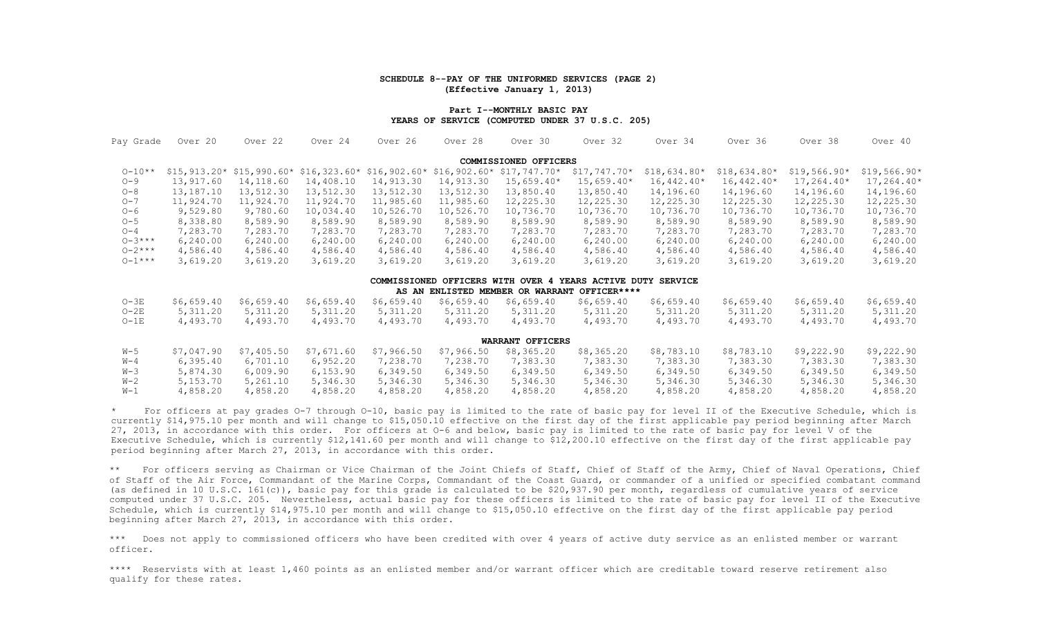#### **SCHEDULE 8--PAY OF THE UNIFORMED SERVICES (PAGE 2) (Effective January 1, 2013)**

#### **Part I--MONTHLY BASIC PAY YEARS OF SERVICE (COMPUTED UNDER 37 U.S.C. 205)**

| Pay Grade   | Over 20       | Over 22       | Over 24    | Over 26                   | Over 28    | Over 30                   | Over 32                                      | Over 34        | Over 36       | Over 38       | Over 40       |
|-------------|---------------|---------------|------------|---------------------------|------------|---------------------------|----------------------------------------------|----------------|---------------|---------------|---------------|
|             |               |               |            |                           |            | COMMISSIONED OFFICERS     |                                              |                |               |               |               |
| $0 - 10**$  | $$15,913.20*$ | $$15,990.60*$ |            | $$16,323.60* $16,902.60*$ |            | $$16,902.60* $17,747.70*$ | $$17,747.70*$                                | $$18,634.80*$  | $$18,634.80*$ | $$19,566.90*$ | $$19,566.90*$ |
| $O - 9$     | 13,917.60     | 14,118.60     | 14,408.10  | 14,913.30                 | 14,913.30  | $15,659.40*$              | $15,659.40*$                                 | $16,442.40*$   | $16,442.40*$  | $17,264.40*$  | $17,264.40*$  |
| $O - 8$     | 13,187.10     | 13,512.30     | 13,512.30  | 13,512.30                 | 13,512.30  | 13,850.40                 | 13,850.40                                    | 14,196.60      | 14,196.60     | 14,196.60     | 14,196.60     |
| $O - 7$     | 11,924.70     | 11,924.70     | 11,924.70  | 11,985.60                 | 11,985.60  | 12,225.30                 | 12,225.30                                    | 12,225.30      | 12,225.30     | 12,225.30     | 12,225.30     |
| $O - 6$     | 9,529.80      | 9,780.60      | 10,034.40  | 10,526.70                 | 10,526.70  | 10,736.70                 | 10,736.70                                    | 10,736.70      | 10,736.70     | 10,736.70     | 10,736.70     |
| $O - 5$     | 8,338.80      | 8,589.90      | 8,589.90   | 8,589.90                  | 8,589.90   | 8,589.90                  | 8,589.90                                     | 8,589.90       | 8,589.90      | 8,589.90      | 8,589.90      |
| $O - 4$     | 7,283.70      | 7,283.70      | 7,283.70   | 7,283.70                  | 7,283.70   | 7,283.70                  | 7,283.70                                     | 7,283.70       | 7,283.70      | 7,283.70      | 7,283.70      |
| $0 - 3***$  | 6, 240.00     | 6,240.00      | 6, 240.00  | 6, 240.00                 | 6, 240.00  | 6, 240.00                 | 6, 240.00                                    | 6, 240.00      | 6, 240.00     | 6, 240.00     | 6, 240.00     |
| $0 - 2$ *** | 4,586.40      | 4,586.40      | 4,586.40   | 4,586.40                  | 4,586.40   | 4,586.40                  | 4,586.40                                     | 4,586.40       | 4,586.40      | 4,586.40      | 4,586.40      |
| $0 - 1***$  | 3,619.20      | 3,619.20      | 3,619.20   | 3,619.20                  | 3,619.20   | 3,619.20                  | 3,619.20                                     | 3,619.20       | 3,619.20      | 3,619.20      | 3,619.20      |
|             |               |               |            | COMMISSIONED              |            |                           | OFFICERS WITH OVER 4 YEARS ACTIVE DUTY       | <b>SERVICE</b> |               |               |               |
|             |               |               |            |                           |            |                           | AS AN ENLISTED MEMBER OR WARRANT OFFICER**** |                |               |               |               |
| $O-3E$      | \$6,659.40    | \$6,659.40    | \$6,659.40 | \$6,659.40                | \$6,659.40 | \$6,659.40                | \$6,659.40                                   | \$6,659.40     | \$6,659.40    | \$6,659.40    | \$6,659.40    |
| $O-2E$      | 5, 311.20     | 5, 311.20     | 5, 311.20  | 5, 311.20                 | 5, 311.20  | 5, 311.20                 | 5, 311.20                                    | 5, 311.20      | 5, 311.20     | 5, 311.20     | 5, 311.20     |
| $O-1E$      | 4,493.70      | 4,493.70      | 4,493.70   | 4,493.70                  | 4,493.70   | 4,493.70                  | 4,493.70                                     | 4,493.70       | 4,493.70      | 4,493.70      | 4,493.70      |
|             |               |               |            |                           |            | WARRANT OFFICERS          |                                              |                |               |               |               |
| $W-5$       | \$7,047.90    | \$7,405.50    | \$7,671.60 | \$7,966.50                | \$7,966.50 | \$8,365.20                | \$8,365.20                                   | \$8,783.10     | \$8,783.10    | \$9,222.90    | \$9,222.90    |
| $W-4$       | 6,395.40      | 6,701.10      | 6,952.20   | 7,238.70                  | 7,238.70   | 7,383.30                  | 7,383.30                                     | 7,383.30       | 7,383.30      | 7,383.30      | 7,383.30      |
| $W-3$       | 5,874.30      | 6,009.90      | 6, 153.90  | 6,349.50                  | 6,349.50   | 6,349.50                  | 6,349.50                                     | 6,349.50       | 6,349.50      | 6,349.50      | 6,349.50      |
| $W-2$       | 5,153.70      | 5,261.10      | 5,346.30   | 5,346.30                  | 5,346.30   | 5,346.30                  | 5,346.30                                     | 5,346.30       | 5,346.30      | 5,346.30      | 5,346.30      |
| $W-1$       | 4,858.20      | 4,858.20      | 4,858.20   | 4,858.20                  | 4,858.20   | 4,858.20                  | 4,858.20                                     | 4,858.20       | 4,858.20      | 4,858.20      | 4,858.20      |

\* For officers at pay grades O-7 through O-10, basic pay is limited to the rate of basic pay for level II of the Executive Schedule, which is currently \$14,975.10 per month and will change to \$15,050.10 effective on the first day of the first applicable pay period beginning after March 27, 2013, in accordance with this order. For officers at O-6 and below, basic pay is limited to the rate of basic pay for level V of the Executive Schedule, which is currently \$12,141.60 per month and will change to \$12,200.10 effective on the first day of the first applicable pay period beginning after March 27, 2013, in accordance with this order.

\*\* For officers serving as Chairman or Vice Chairman of the Joint Chiefs of Staff, Chief of Staff of the Army, Chief of Naval Operations, Chief of Staff of the Air Force, Commandant of the Marine Corps, Commandant of the Coast Guard, or commander of a unified or specified combatant command (as defined in 10 U.S.C. 161(c)), basic pay for this grade is calculated to be \$20,937.90 per month, regardless of cumulative years of service computed under 37 U.S.C. 205. Nevertheless, actual basic pay for these officers is limited to the rate of basic pay for level II of the Executive Schedule, which is currently \$14,975.10 per month and will change to \$15,050.10 effective on the first day of the first applicable pay period beginning after March 27, 2013, in accordance with this order.

\*\*\* Does not apply to commissioned officers who have been credited with over 4 years of active duty service as an enlisted member or warrant officer.

\*\*\*\*Reservists with at least 1,460 points as an enlisted member and/or warrant officer which are creditable toward reserve retirement also qualify for these rates.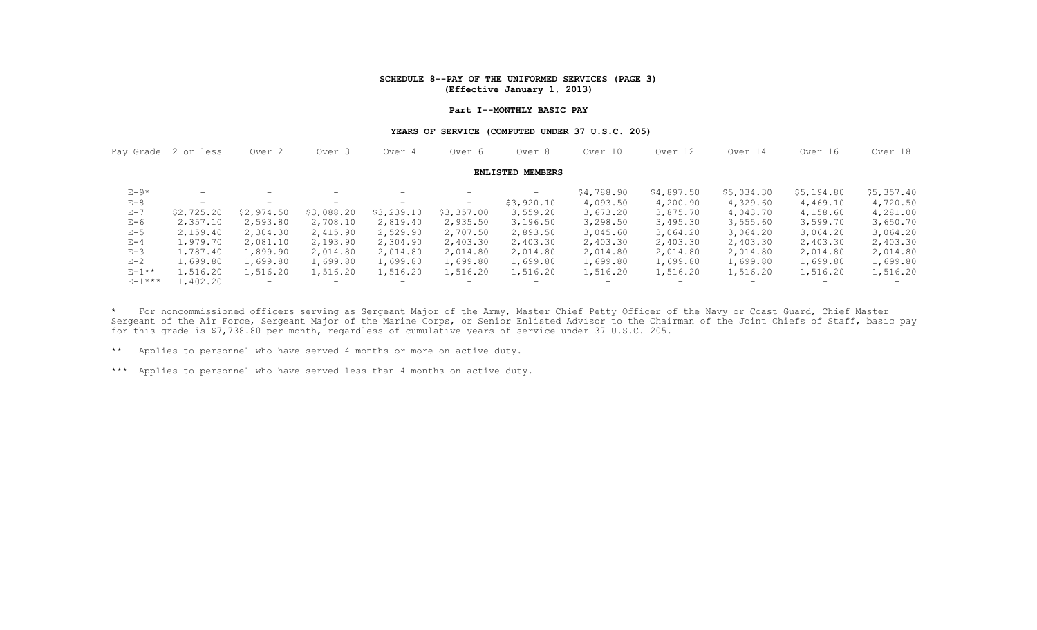#### **SCHEDULE 8--PAY OF THE UNIFORMED SERVICES (PAGE 3) (Effective January 1, 2013)**

#### **Part I--MONTHLY BASIC PAY**

#### **YEARS OF SERVICE (COMPUTED UNDER 37 U.S.C. 205)**

|             | Pay Grade 2 or less | Over <sub>2</sub>        | Over <sub>3</sub>        | Over 4                   | Over 6     | Over 8                  | Over 10                  | Over 12                  | Over 14                  | Over 16    | Over 18                  |
|-------------|---------------------|--------------------------|--------------------------|--------------------------|------------|-------------------------|--------------------------|--------------------------|--------------------------|------------|--------------------------|
|             |                     |                          |                          |                          |            | <b>ENLISTED MEMBERS</b> |                          |                          |                          |            |                          |
| $E-9*$      | $-$                 | $\overline{\phantom{0}}$ | $\qquad \qquad -$        |                          |            | $\qquad \qquad -$       | \$4,788.90               | \$4,897.50               | \$5,034.30               | \$5,194.80 | \$5,357.40               |
| $E-8$       | $-$                 | $-$                      | $\overline{\phantom{0}}$ | $\overline{\phantom{0}}$ | $-$        | \$3,920.10              | 4,093.50                 | 4,200.90                 | 4,329.60                 | 4,469.10   | 4,720.50                 |
| $E - 7$     | \$2,725.20          | \$2,974.50               | \$3,088.20               | \$3,239.10               | \$3,357.00 | 3,559.20                | 3,673.20                 | 3,875.70                 | 4,043.70                 | 4,158.60   | 4,281.00                 |
| $E-6$       | 2,357.10            | 2,593.80                 | 2,708.10                 | 2,819.40                 | 2,935.50   | 3,196.50                | 3,298.50                 | 3,495.30                 | 3,555.60                 | 3,599.70   | 3,650.70                 |
| $E-5$       | 2,159.40            | 2,304.30                 | 2,415.90                 | 2,529.90                 | 2,707.50   | 2,893.50                | 3,045.60                 | 3,064.20                 | 3,064.20                 | 3,064.20   | 3,064.20                 |
| $E - 4$     | 1,979.70            | 2,081.10                 | 2,193.90                 | 2,304.90                 | 2,403.30   | 2,403.30                | 2,403.30                 | 2,403.30                 | 2,403.30                 | 2,403.30   | 2,403.30                 |
| $E - 3$     | 1,787.40            | 1,899.90                 | 2,014.80                 | 2,014.80                 | 2,014.80   | 2,014.80                | 2,014.80                 | 2,014.80                 | 2,014.80                 | 2,014.80   | 2,014.80                 |
| $E-2$       | 1,699.80            | 1,699.80                 | 1,699.80                 | 1,699.80                 | 1,699.80   | 1,699.80                | 1,699.80                 | 1,699.80                 | 1,699.80                 | 1,699.80   | 1,699.80                 |
| $E-1**$     | 1,516.20            | 1,516.20                 | 1,516.20                 | 1,516.20                 | 1,516.20   | 1,516.20                | 1,516.20                 | 1,516.20                 | 1,516.20                 | 1,516.20   | 1,516.20                 |
| $E - 1$ *** | 1,402.20            | $\overline{\phantom{0}}$ | $\overline{\phantom{0}}$ | $\overline{\phantom{0}}$ | -          | $\qquad \qquad$         | $\overline{\phantom{0}}$ | $\overline{\phantom{0}}$ | $\overline{\phantom{0}}$ |            | $\overline{\phantom{0}}$ |

\* For noncommissioned officers serving as Sergeant Major of the Army, Master Chief Petty Officer of the Navy or Coast Guard, Chief Master Sergeant of the Air Force, Sergeant Major of the Marine Corps, or Senior Enlisted Advisor to the Chairman of the Joint Chiefs of Staff, basic pay for this grade is \$7,738.80 per month, regardless of cumulative years of service under 37 U.S.C. 205.

\*\* Applies to personnel who have served 4 months or more on active duty.

\*\*\* Applies to personnel who have served less than 4 months on active duty.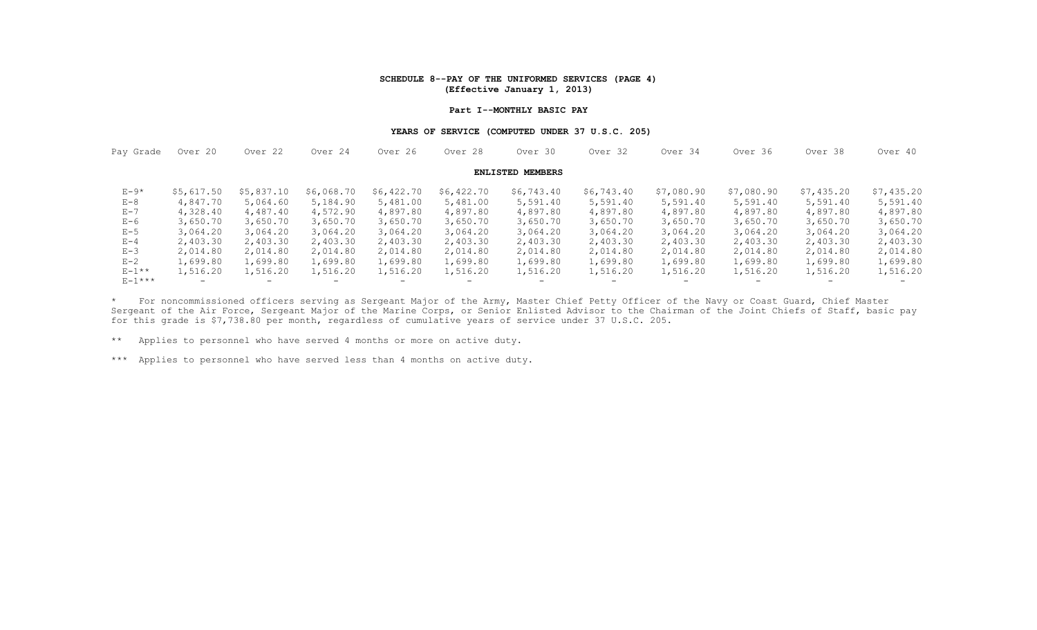#### **SCHEDULE 8--PAY OF THE UNIFORMED SERVICES (PAGE 4) (Effective January 1, 2013)**

#### **Part I--MONTHLY BASIC PAY**

#### **YEARS OF SERVICE (COMPUTED UNDER 37 U.S.C. 205)**

| Pay Grade     | Over 20    | Over 22                  | Over 24                  | Over 26                  | Over 28    | Over 30                  | Over 32    | Over 34                  | Over 36                  | Over 38    | Over 40                  |
|---------------|------------|--------------------------|--------------------------|--------------------------|------------|--------------------------|------------|--------------------------|--------------------------|------------|--------------------------|
|               |            |                          |                          |                          |            | <b>ENLISTED MEMBERS</b>  |            |                          |                          |            |                          |
| $E-9*$        | \$5,617.50 | \$5,837.10               | \$6,068.70               | \$6,422.70               | \$6,422.70 | \$6,743.40               | \$6,743.40 | \$7,080.90               | \$7,080.90               | \$7,435.20 | \$7,435.20               |
| $E - 8$       | 4,847.70   | 5,064.60                 | 5,184.90                 | 5,481.00                 | 5,481.00   | 5,591.40                 | 5,591.40   | 5,591.40                 | 5,591.40                 | 5,591.40   | 5,591.40                 |
| $E - 7$       | 4,328.40   | 4,487.40                 | 4,572.90                 | 4,897.80                 | 4,897.80   | 4,897.80                 | 4,897.80   | 4,897.80                 | 4,897.80                 | 4,897.80   | 4,897.80                 |
| $E-6$         | 3,650.70   | 3,650.70                 | 3,650.70                 | 3,650.70                 | 3,650.70   | 3,650.70                 | 3,650.70   | 3,650.70                 | 3,650.70                 | 3,650.70   | 3,650.70                 |
| $E - 5$       | 3,064.20   | 3,064.20                 | 3,064.20                 | 3,064.20                 | 3,064.20   | 3,064.20                 | 3,064.20   | 3,064.20                 | 3,064.20                 | 3,064.20   | 3,064.20                 |
| $E - 4$       | 2,403.30   | 2,403.30                 | 2,403.30                 | 2,403.30                 | 2,403.30   | 2,403.30                 | 2,403.30   | 2,403.30                 | 2,403.30                 | 2,403.30   | 2,403.30                 |
| $E-3$         | 2,014.80   | 2,014.80                 | 2,014.80                 | 2,014.80                 | 2,014.80   | 2,014.80                 | 2,014.80   | 2,014.80                 | 2,014.80                 | 2,014.80   | 2,014.80                 |
| $E - 2$       | 1,699.80   | 1,699.80                 | 1,699.80                 | 1,699.80                 | 1,699.80   | 1,699.80                 | 1,699.80   | 1,699.80                 | 1,699.80                 | 1,699.80   | 1,699.80                 |
| $E-1**$       | 1,516.20   | 1,516.20                 | 1,516.20                 | 1,516.20                 | 1,516.20   | 1,516.20                 | 1,516.20   | 1,516.20                 | 1,516.20                 | 1,516.20   | 1,516.20                 |
| $E - 1$ * * * | $-$        | $\overline{\phantom{0}}$ | $\overline{\phantom{0}}$ | $\overline{\phantom{0}}$ | $-$        | $\overline{\phantom{0}}$ | -          | $\overline{\phantom{0}}$ | $\overline{\phantom{0}}$ |            | $\overline{\phantom{0}}$ |

\* For noncommissioned officers serving as Sergeant Major of the Army, Master Chief Petty Officer of the Navy or Coast Guard, Chief Master Sergeant of the Air Force, Sergeant Major of the Marine Corps, or Senior Enlisted Advisor to the Chairman of the Joint Chiefs of Staff, basic pay for this grade is \$7,738.80 per month, regardless of cumulative years of service under 37 U.S.C. 205.

\*\* Applies to personnel who have served 4 months or more on active duty.

\*\*\* Applies to personnel who have served less than 4 months on active duty.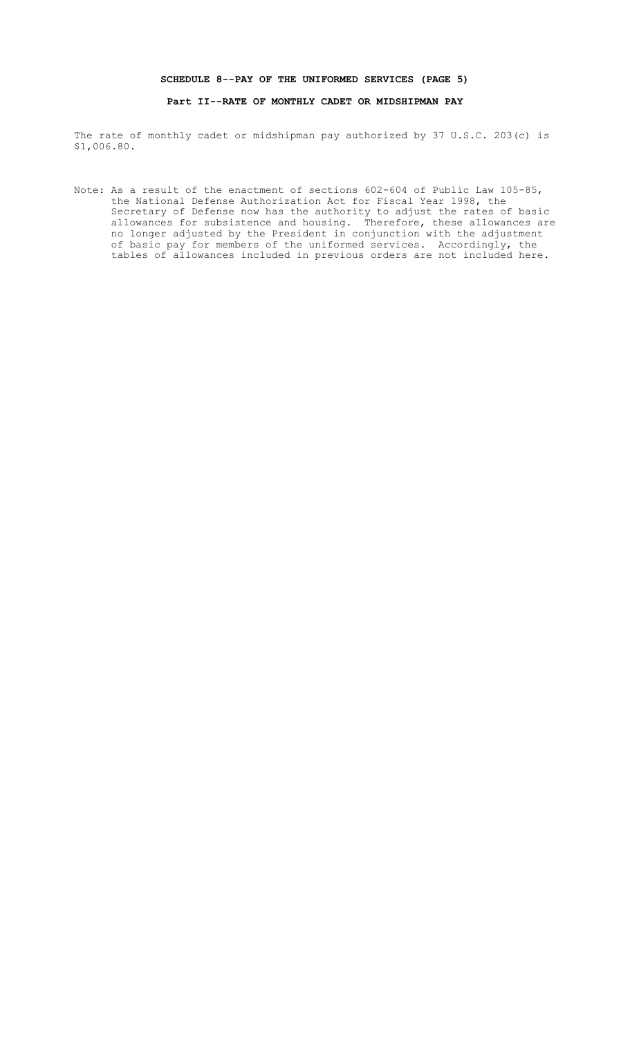### **SCHEDULE 8--PAY OF THE UNIFORMED SERVICES (PAGE 5)**

### **Part II--RATE OF MONTHLY CADET OR MIDSHIPMAN PAY**

The rate of monthly cadet or midshipman pay authorized by 37 U.S.C. 203(c) is \$1,006.80.

Note: As a result of the enactment of sections 602-604 of Public Law 105-85, the National Defense Authorization Act for Fiscal Year 1998, the Secretary of Defense now has the authority to adjust the rates of basic allowances for subsistence and housing. Therefore, these allowances are no longer adjusted by the President in conjunction with the adjustment of basic pay for members of the uniformed services. Accordingly, the tables of allowances included in previous orders are not included here.